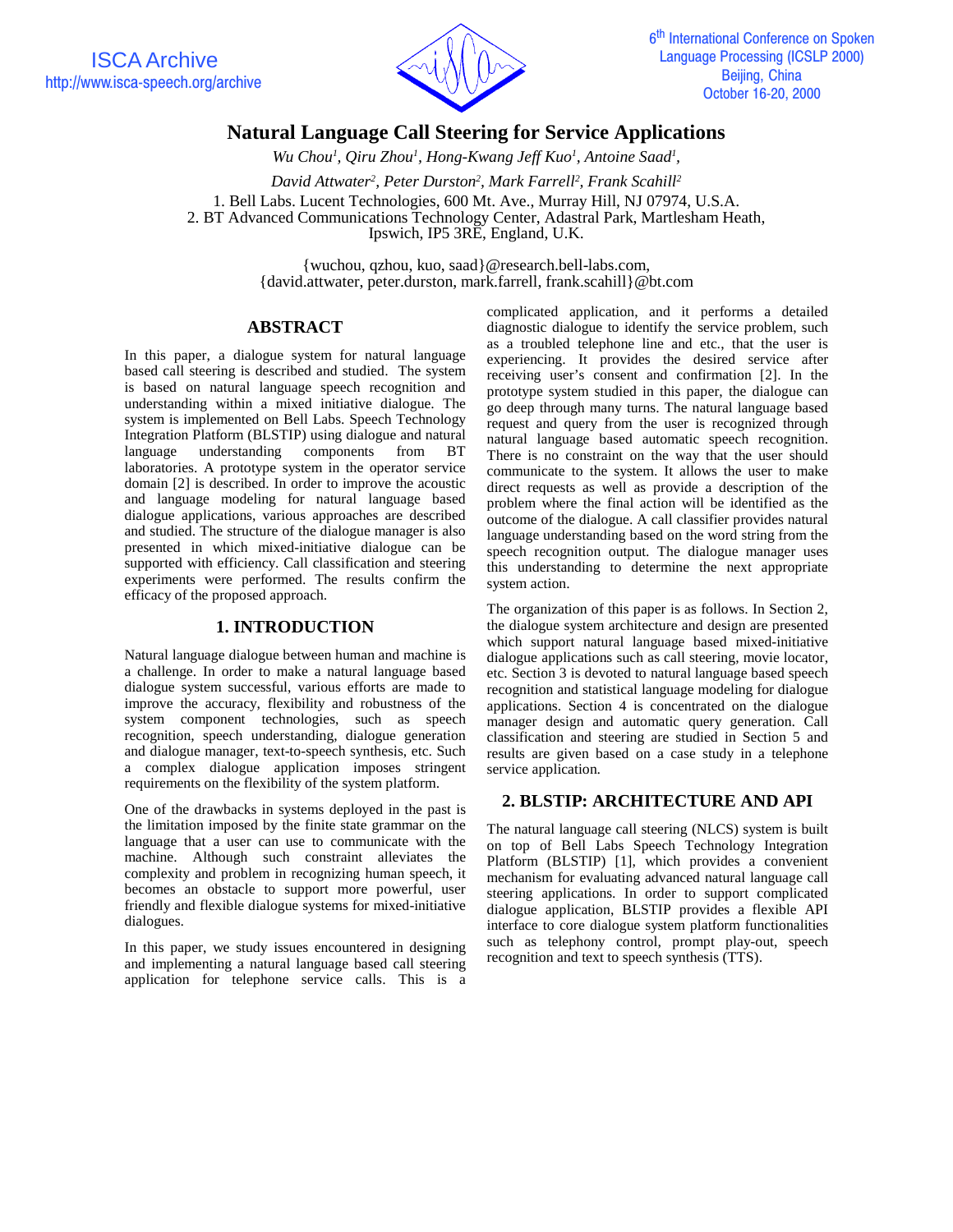

# **Natural Language Call Steering for Service Applications**

Wu Chou<sup>1</sup>, Qiru Zhou<sup>1</sup>, Hong-Kwang Jeff Kuo<sup>1</sup>, Antoine Saad<sup>1</sup>,

*David Attwater2 , Peter Durston2 , Mark Farrell2 , Frank Scahill2*

1. Bell Labs. Lucent Technologies, 600 Mt. Ave., Murray Hill, NJ 07974, U.S.A. 2. BT Advanced Communications Technology Center, Adastral Park, Martlesham Heath, Ipswich, IP5 3RE, England, U.K.

> {wuchou, qzhou, kuo, saad}@research.bell-labs.com, {david.attwater, peter.durston, mark.farrell, frank.scahill}@bt.com

### **ABSTRACT**

In this paper, a dialogue system for natural language based call steering is described and studied. The system is based on natural language speech recognition and understanding within a mixed initiative dialogue. The system is implemented on Bell Labs. Speech Technology Integration Platform (BLSTIP) using dialogue and natural language understanding components from BT laboratories. A prototype system in the operator service domain [2] is described. In order to improve the acoustic and language modeling for natural language based dialogue applications, various approaches are described and studied. The structure of the dialogue manager is also presented in which mixed-initiative dialogue can be supported with efficiency. Call classification and steering experiments were performed. The results confirm the efficacy of the proposed approach.

#### **1. INTRODUCTION**

Natural language dialogue between human and machine is a challenge. In order to make a natural language based dialogue system successful, various efforts are made to improve the accuracy, flexibility and robustness of the system component technologies, such as speech recognition, speech understanding, dialogue generation and dialogue manager, text-to-speech synthesis, etc. Such a complex dialogue application imposes stringent requirements on the flexibility of the system platform.

One of the drawbacks in systems deployed in the past is the limitation imposed by the finite state grammar on the language that a user can use to communicate with the machine. Although such constraint alleviates the complexity and problem in recognizing human speech, it becomes an obstacle to support more powerful, user friendly and flexible dialogue systems for mixed-initiative dialogues.

In this paper, we study issues encountered in designing and implementing a natural language based call steering application for telephone service calls. This is a

complicated application, and it performs a detailed diagnostic dialogue to identify the service problem, such as a troubled telephone line and etc., that the user is experiencing. It provides the desired service after receiving user's consent and confirmation [2]. In the prototype system studied in this paper, the dialogue can go deep through many turns. The natural language based request and query from the user is recognized through natural language based automatic speech recognition. There is no constraint on the way that the user should communicate to the system. It allows the user to make direct requests as well as provide a description of the problem where the final action will be identified as the outcome of the dialogue. A call classifier provides natural language understanding based on the word string from the speech recognition output. The dialogue manager uses this understanding to determine the next appropriate system action.

The organization of this paper is as follows. In Section 2, the dialogue system architecture and design are presented which support natural language based mixed-initiative dialogue applications such as call steering, movie locator, etc. Section 3 is devoted to natural language based speech recognition and statistical language modeling for dialogue applications. Section 4 is concentrated on the dialogue manager design and automatic query generation. Call classification and steering are studied in Section 5 and results are given based on a case study in a telephone service application.

# **2. BLSTIP: ARCHITECTURE AND API**

The natural language call steering (NLCS) system is built on top of Bell Labs Speech Technology Integration Platform (BLSTIP) [1], which provides a convenient mechanism for evaluating advanced natural language call steering applications. In order to support complicated dialogue application, BLSTIP provides a flexible API interface to core dialogue system platform functionalities such as telephony control, prompt play-out, speech recognition and text to speech synthesis (TTS).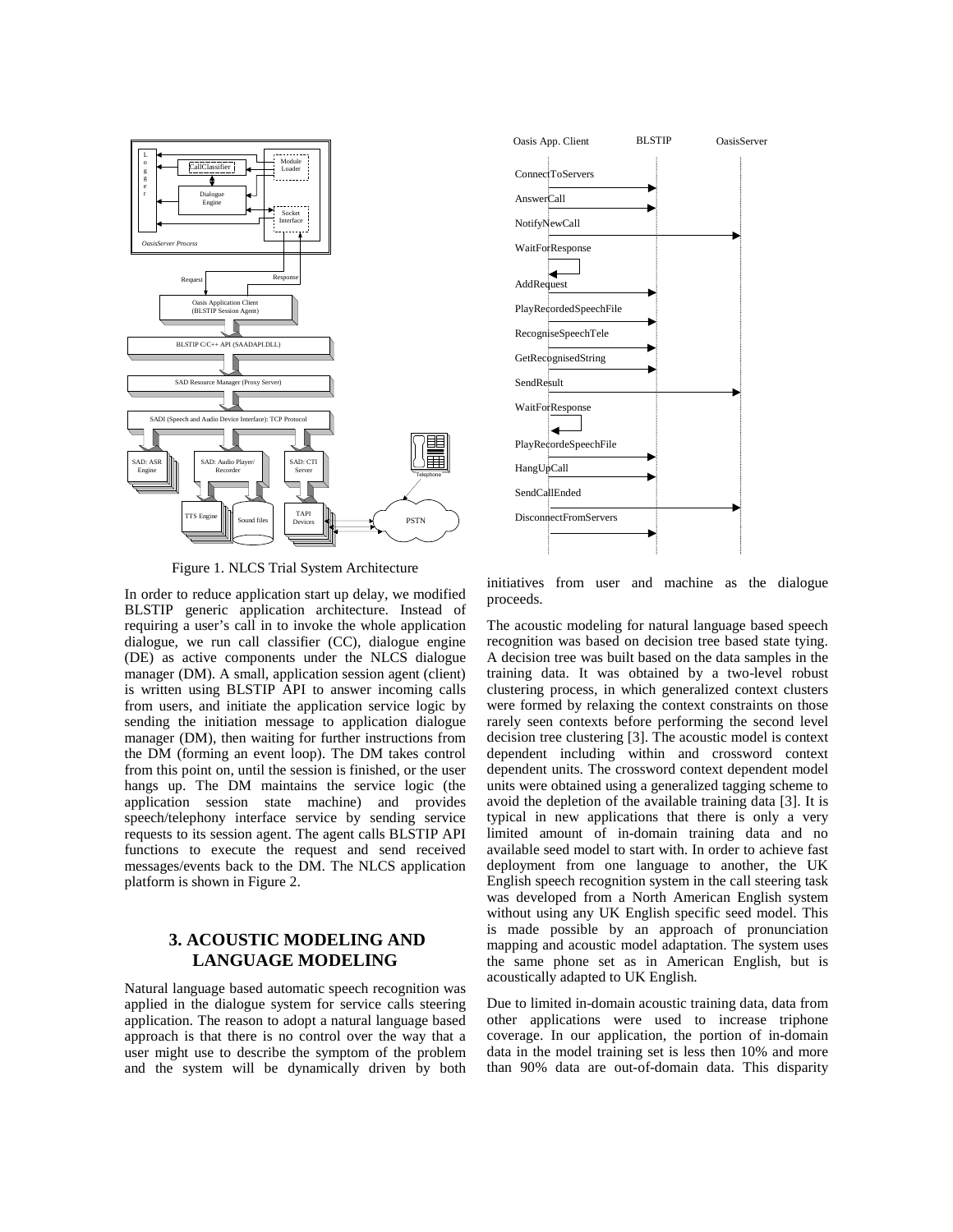

Figure 1. NLCS Trial System Architecture

In order to reduce application start up delay, we modified BLSTIP generic application architecture. Instead of requiring a user's call in to invoke the whole application dialogue, we run call classifier (CC), dialogue engine (DE) as active components under the NLCS dialogue manager (DM). A small, application session agent (client) is written using BLSTIP API to answer incoming calls from users, and initiate the application service logic by sending the initiation message to application dialogue manager (DM), then waiting for further instructions from the DM (forming an event loop). The DM takes control from this point on, until the session is finished, or the user hangs up. The DM maintains the service logic (the application session state machine) and provides speech/telephony interface service by sending service requests to its session agent. The agent calls BLSTIP API functions to execute the request and send received messages/events back to the DM. The NLCS application platform is shown in Figure 2.

# **3. ACOUSTIC MODELING AND LANGUAGE MODELING**

Natural language based automatic speech recognition was applied in the dialogue system for service calls steering application. The reason to adopt a natural language based approach is that there is no control over the way that a user might use to describe the symptom of the problem and the system will be dynamically driven by both



initiatives from user and machine as the dialogue proceeds.

The acoustic modeling for natural language based speech recognition was based on decision tree based state tying. A decision tree was built based on the data samples in the training data. It was obtained by a two-level robust clustering process, in which generalized context clusters were formed by relaxing the context constraints on those rarely seen contexts before performing the second level decision tree clustering [3]. The acoustic model is context dependent including within and crossword context dependent units. The crossword context dependent model units were obtained using a generalized tagging scheme to avoid the depletion of the available training data [3]. It is typical in new applications that there is only a very limited amount of in-domain training data and no available seed model to start with. In order to achieve fast deployment from one language to another, the UK English speech recognition system in the call steering task was developed from a North American English system without using any UK English specific seed model. This is made possible by an approach of pronunciation mapping and acoustic model adaptation. The system uses the same phone set as in American English, but is acoustically adapted to UK English.

Due to limited in-domain acoustic training data, data from other applications were used to increase triphone coverage. In our application, the portion of in-domain data in the model training set is less then 10% and more than 90% data are out-of-domain data. This disparity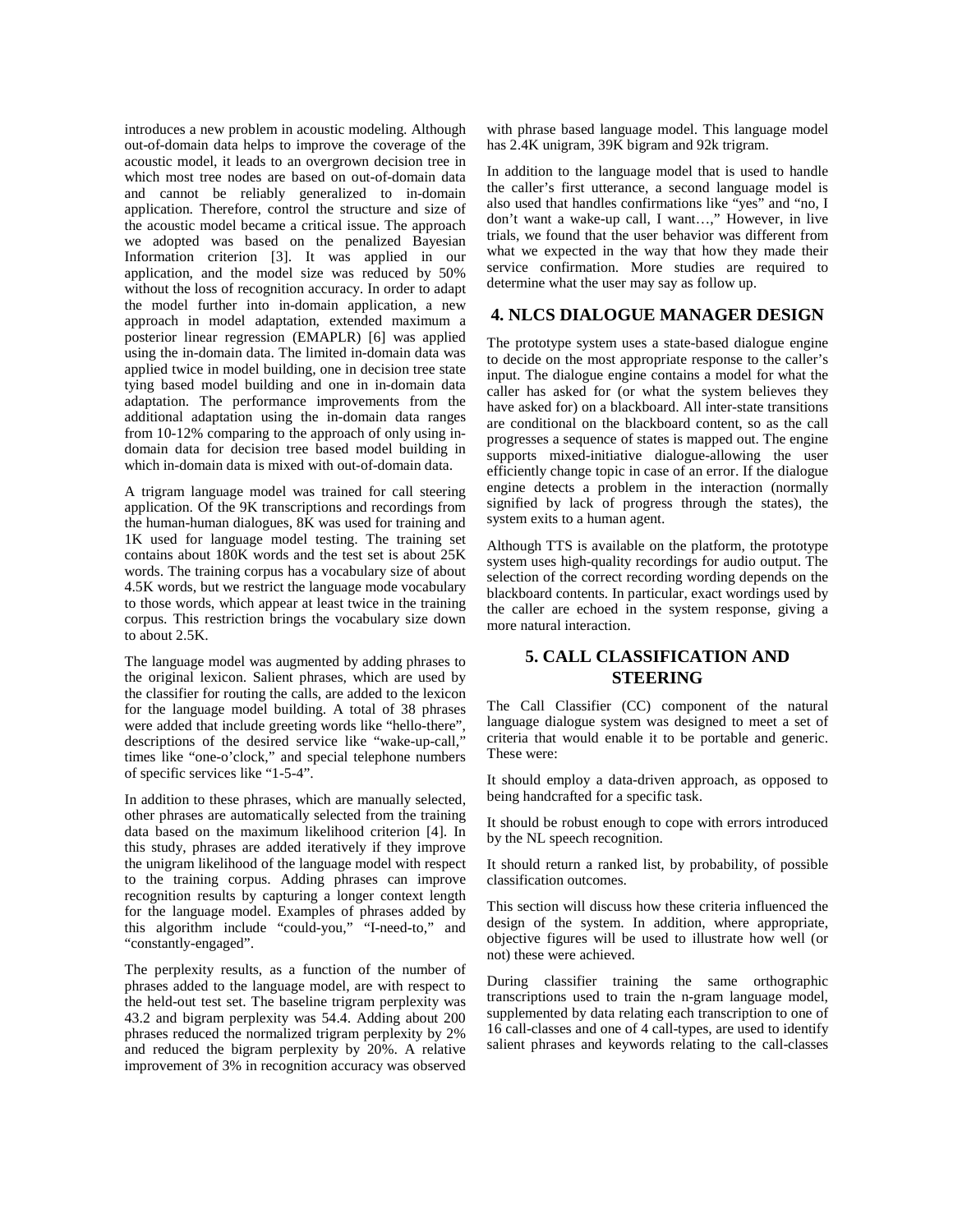introduces a new problem in acoustic modeling. Although out-of-domain data helps to improve the coverage of the acoustic model, it leads to an overgrown decision tree in which most tree nodes are based on out-of-domain data and cannot be reliably generalized to in-domain application. Therefore, control the structure and size of the acoustic model became a critical issue. The approach we adopted was based on the penalized Bayesian Information criterion [3]. It was applied in our application, and the model size was reduced by 50% without the loss of recognition accuracy. In order to adapt the model further into in-domain application, a new approach in model adaptation, extended maximum a posterior linear regression (EMAPLR) [6] was applied using the in-domain data. The limited in-domain data was applied twice in model building, one in decision tree state tying based model building and one in in-domain data adaptation. The performance improvements from the additional adaptation using the in-domain data ranges from 10-12% comparing to the approach of only using indomain data for decision tree based model building in which in-domain data is mixed with out-of-domain data.

A trigram language model was trained for call steering application. Of the 9K transcriptions and recordings from the human-human dialogues, 8K was used for training and 1K used for language model testing. The training set contains about 180K words and the test set is about 25K words. The training corpus has a vocabulary size of about 4.5K words, but we restrict the language mode vocabulary to those words, which appear at least twice in the training corpus. This restriction brings the vocabulary size down to about 2.5K.

The language model was augmented by adding phrases to the original lexicon. Salient phrases, which are used by the classifier for routing the calls, are added to the lexicon for the language model building. A total of 38 phrases were added that include greeting words like "hello-there", descriptions of the desired service like "wake-up-call," times like "one-o'clock," and special telephone numbers of specific services like "1-5-4".

In addition to these phrases, which are manually selected, other phrases are automatically selected from the training data based on the maximum likelihood criterion [4]. In this study, phrases are added iteratively if they improve the unigram likelihood of the language model with respect to the training corpus. Adding phrases can improve recognition results by capturing a longer context length for the language model. Examples of phrases added by this algorithm include "could-you," "I-need-to," and "constantly-engaged".

The perplexity results, as a function of the number of phrases added to the language model, are with respect to the held-out test set. The baseline trigram perplexity was 43.2 and bigram perplexity was 54.4. Adding about 200 phrases reduced the normalized trigram perplexity by 2% and reduced the bigram perplexity by 20%. A relative improvement of 3% in recognition accuracy was observed with phrase based language model. This language model has 2.4K unigram, 39K bigram and 92k trigram.

In addition to the language model that is used to handle the caller's first utterance, a second language model is also used that handles confirmations like "yes" and "no, I don't want a wake-up call, I want…," However, in live trials, we found that the user behavior was different from what we expected in the way that how they made their service confirmation. More studies are required to determine what the user may say as follow up.

#### **4. NLCS DIALOGUE MANAGER DESIGN**

The prototype system uses a state-based dialogue engine to decide on the most appropriate response to the caller's input. The dialogue engine contains a model for what the caller has asked for (or what the system believes they have asked for) on a blackboard. All inter-state transitions are conditional on the blackboard content, so as the call progresses a sequence of states is mapped out. The engine supports mixed-initiative dialogue-allowing the user efficiently change topic in case of an error. If the dialogue engine detects a problem in the interaction (normally signified by lack of progress through the states), the system exits to a human agent.

Although TTS is available on the platform, the prototype system uses high-quality recordings for audio output. The selection of the correct recording wording depends on the blackboard contents. In particular, exact wordings used by the caller are echoed in the system response, giving a more natural interaction.

### **5. CALL CLASSIFICATION AND STEERING**

The Call Classifier (CC) component of the natural language dialogue system was designed to meet a set of criteria that would enable it to be portable and generic. These were:

It should employ a data-driven approach, as opposed to being handcrafted for a specific task.

It should be robust enough to cope with errors introduced by the NL speech recognition.

It should return a ranked list, by probability, of possible classification outcomes.

This section will discuss how these criteria influenced the design of the system. In addition, where appropriate, objective figures will be used to illustrate how well (or not) these were achieved.

During classifier training the same orthographic transcriptions used to train the n-gram language model, supplemented by data relating each transcription to one of 16 call-classes and one of 4 call-types, are used to identify salient phrases and keywords relating to the call-classes